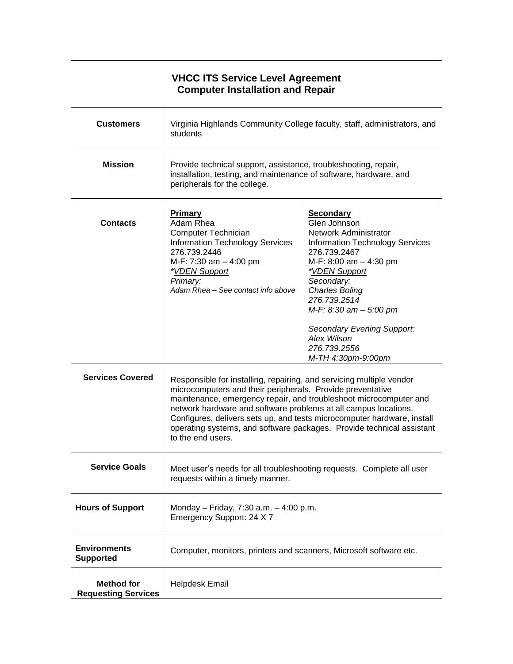| <b>VHCC ITS Service Level Agreement</b><br><b>Computer Installation and Repair</b> |                                                                                                                                                                                                                                                                                                                                                                                                                                                     |                                                                                                                                                                                                                                                                                                                                             |  |
|------------------------------------------------------------------------------------|-----------------------------------------------------------------------------------------------------------------------------------------------------------------------------------------------------------------------------------------------------------------------------------------------------------------------------------------------------------------------------------------------------------------------------------------------------|---------------------------------------------------------------------------------------------------------------------------------------------------------------------------------------------------------------------------------------------------------------------------------------------------------------------------------------------|--|
| <b>Customers</b>                                                                   | Virginia Highlands Community College faculty, staff, administrators, and<br>students                                                                                                                                                                                                                                                                                                                                                                |                                                                                                                                                                                                                                                                                                                                             |  |
| <b>Mission</b>                                                                     | Provide technical support, assistance, troubleshooting, repair,<br>installation, testing, and maintenance of software, hardware, and<br>peripherals for the college.                                                                                                                                                                                                                                                                                |                                                                                                                                                                                                                                                                                                                                             |  |
| <b>Contacts</b>                                                                    | <b>Primary</b><br>Adam Rhea<br>Computer Technician<br><b>Information Technology Services</b><br>276.739.2446<br>M-F: 7:30 am - 4:00 pm<br><i>*VDEN Support</i><br>Primary:<br>Adam Rhea - See contact info above                                                                                                                                                                                                                                    | <b>Secondary</b><br>Glen Johnson<br>Network Administrator<br><b>Information Technology Services</b><br>276.739.2467<br>M-F: 8:00 am $-$ 4:30 pm<br>*VDEN Support<br>Secondary:<br><b>Charles Boling</b><br>276.739.2514<br>M-F: 8:30 am - 5:00 pm<br><b>Secondary Evening Support:</b><br>Alex Wilson<br>276.739.2556<br>M-TH 4:30pm-9:00pm |  |
| <b>Services Covered</b>                                                            | Responsible for installing, repairing, and servicing multiple vendor<br>microcomputers and their peripherals. Provide preventative<br>maintenance, emergency repair, and troubleshoot microcomputer and<br>network hardware and software problems at all campus locations.<br>Configures, delivers sets up, and tests microcomputer hardware, install<br>operating systems, and software packages. Provide technical assistant<br>to the end users. |                                                                                                                                                                                                                                                                                                                                             |  |
| <b>Service Goals</b>                                                               | Meet user's needs for all troubleshooting requests. Complete all user<br>requests within a timely manner.                                                                                                                                                                                                                                                                                                                                           |                                                                                                                                                                                                                                                                                                                                             |  |
| <b>Hours of Support</b>                                                            | Monday - Friday, 7:30 a.m. - 4:00 p.m.<br>Emergency Support: 24 X 7                                                                                                                                                                                                                                                                                                                                                                                 |                                                                                                                                                                                                                                                                                                                                             |  |
| <b>Environments</b><br><b>Supported</b>                                            | Computer, monitors, printers and scanners, Microsoft software etc.                                                                                                                                                                                                                                                                                                                                                                                  |                                                                                                                                                                                                                                                                                                                                             |  |
| <b>Method for</b><br><b>Requesting Services</b>                                    | <b>Helpdesk Email</b>                                                                                                                                                                                                                                                                                                                                                                                                                               |                                                                                                                                                                                                                                                                                                                                             |  |

٦

 $\mathsf{r}$